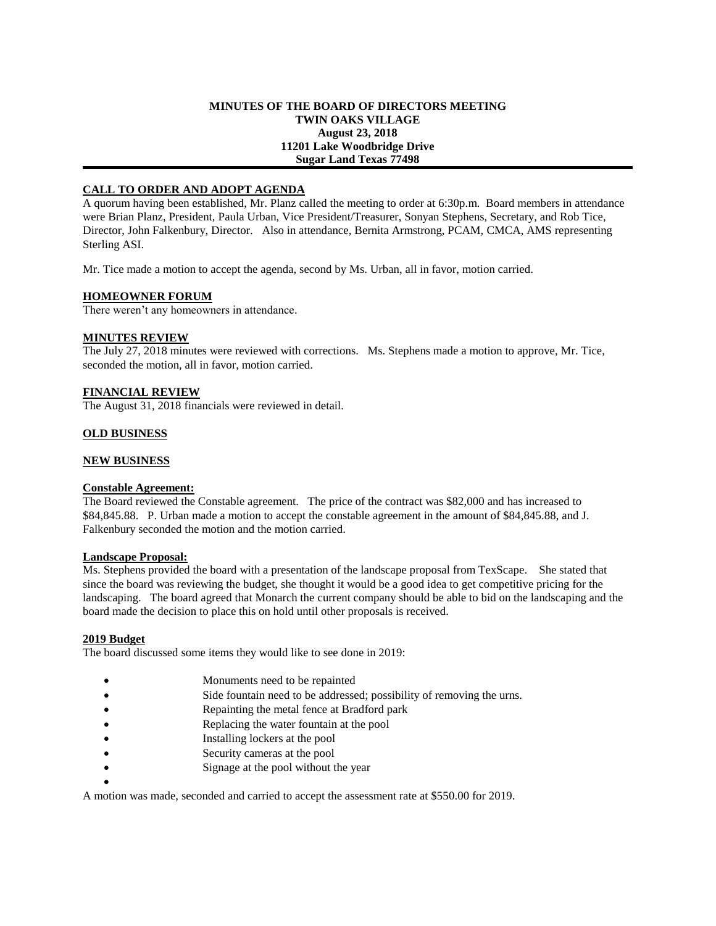## **MINUTES OF THE BOARD OF DIRECTORS MEETING TWIN OAKS VILLAGE August 23, 2018 11201 Lake Woodbridge Drive Sugar Land Texas 77498**

# **CALL TO ORDER AND ADOPT AGENDA**

A quorum having been established, Mr. Planz called the meeting to order at 6:30p.m. Board members in attendance were Brian Planz, President, Paula Urban, Vice President/Treasurer, Sonyan Stephens, Secretary, and Rob Tice, Director, John Falkenbury, Director. Also in attendance, Bernita Armstrong, PCAM, CMCA, AMS representing Sterling ASI.

Mr. Tice made a motion to accept the agenda, second by Ms. Urban, all in favor, motion carried.

## **HOMEOWNER FORUM**

There weren't any homeowners in attendance.

# **MINUTES REVIEW**

The July 27, 2018 minutes were reviewed with corrections. Ms. Stephens made a motion to approve, Mr. Tice, seconded the motion, all in favor, motion carried.

# **FINANCIAL REVIEW**

The August 31, 2018 financials were reviewed in detail.

## **OLD BUSINESS**

## **NEW BUSINESS**

# **Constable Agreement:**

The Board reviewed the Constable agreement. The price of the contract was \$82,000 and has increased to \$84,845.88. P. Urban made a motion to accept the constable agreement in the amount of \$84,845.88, and J. Falkenbury seconded the motion and the motion carried.

#### **Landscape Proposal:**

Ms. Stephens provided the board with a presentation of the landscape proposal from TexScape. She stated that since the board was reviewing the budget, she thought it would be a good idea to get competitive pricing for the landscaping. The board agreed that Monarch the current company should be able to bid on the landscaping and the board made the decision to place this on hold until other proposals is received.

#### **2019 Budget**

The board discussed some items they would like to see done in 2019:

- Monuments need to be repainted
- Side fountain need to be addressed; possibility of removing the urns.
- Repainting the metal fence at Bradford park
- Replacing the water fountain at the pool
- Installing lockers at the pool
- Security cameras at the pool
- Signage at the pool without the year
- $\bullet$

A motion was made, seconded and carried to accept the assessment rate at \$550.00 for 2019.